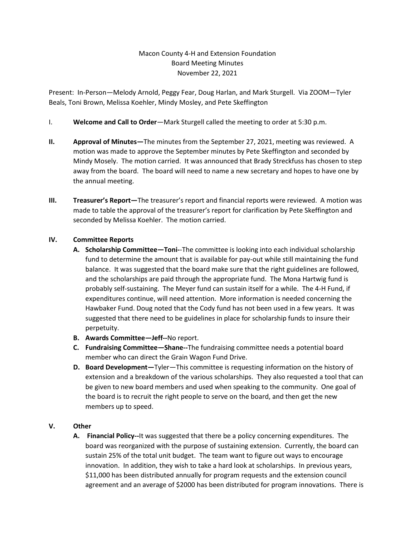## Macon County 4-H and Extension Foundation Board Meeting Minutes November 22, 2021

Present: In-Person—Melody Arnold, Peggy Fear, Doug Harlan, and Mark Sturgell. Via ZOOM—Tyler Beals, Toni Brown, Melissa Koehler, Mindy Mosley, and Pete Skeffington

- I. **Welcome and Call to Order**—Mark Sturgell called the meeting to order at 5:30 p.m.
- **II. Approval of Minutes—**The minutes from the September 27, 2021, meeting was reviewed. A motion was made to approve the September minutes by Pete Skeffington and seconded by Mindy Mosely. The motion carried. It was announced that Brady Streckfuss has chosen to step away from the board.The board will need to name a new secretary and hopes to have one by the annual meeting.
- **III. Treasurer's Report—**The treasurer's report and financial reports were reviewed. A motion was made to table the approval of the treasurer's report for clarification by Pete Skeffington and seconded by Melissa Koehler. The motion carried.

## **IV. Committee Reports**

- **A. Scholarship Committee—Toni-**-The committee is looking into each individual scholarship fund to determine the amount that is available for pay-out while still maintaining the fund balance. It was suggested that the board make sure that the right guidelines are followed, and the scholarships are paid through the appropriate fund. The Mona Hartwig fund is probably self-sustaining. The Meyer fund can sustain itself for a while. The 4-H Fund, if expenditures continue, will need attention. More information is needed concerning the Hawbaker Fund. Doug noted that the Cody fund has not been used in a few years. It was suggested that there need to be guidelines in place for scholarship funds to insure their perpetuity.
- **B. Awards Committee—Jeff--**No report.
- **C. Fundraising Committee—Shane--**The fundraising committee needs a potential board member who can direct the Grain Wagon Fund Drive.
- **D. Board Development—**Tyler—This committee is requesting information on the history of extension and a breakdown of the various scholarships. They also requested a tool that can be given to new board members and used when speaking to the community. One goal of the board is to recruit the right people to serve on the board, and then get the new members up to speed.

## **V. Other**

**A. Financial Policy--**It was suggested that there be a policy concerning expenditures. The board was reorganized with the purpose of sustaining extension. Currently, the board can sustain 25% of the total unit budget. The team want to figure out ways to encourage innovation. In addition, they wish to take a hard look at scholarships. In previous years, \$11,000 has been distributed annually for program requests and the extension council agreement and an average of \$2000 has been distributed for program innovations. There is